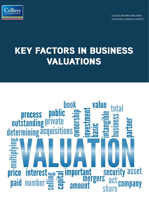

**COLLIERS INTERNATIONAL MENA** VALUATION & ADVISORY SERVICES

# **KEY FACTORS IN BUSINESS VALUATIONS**

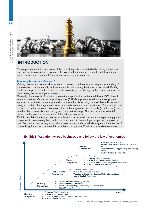

## **INTRODUCTION**

This paper aims to introduce some of the critical aspects associated with valuing a business and how seeking assistance from a professional valuation expert can help in determining a 'more realistic and reasonable' fair market value of your business.

#### **Is valuing business a 'Science'?**

Valuing business is not a work of science. However, this does require deep understanding of the valuation concepts and how these concepts relate to any business being valued. Getting the help of a professional valuation expert can assist you in identifying the correct approach in determining the value of your business.

Generally, the majority of valuation professionals prefer discounted cash flows (DCF) based valuation method. Capital asset pricing model (CAPM) approach remains the most popular approach to estimate the appropriate discount rate for discounting the cash flows. However, in doing so, certain challenges need to be cautiously evaluated and considered. For example, one of the most critical aspects often overlooked is the stage of economic cycle (time horizon), i.e. whether the business is a start-up, growth or a mature stage. This can have a substantial impact on the eventual assessment of the value of business.

Exhibit 1 explains the typical business cycle and how professional valuation experts apply their judgement in determining the time horizon that needs to be employed as part of the projected cash flows when conducting a typical business valuation. Our analysis suggests that the cost of overlooking this aspect may result in a variation of up to +/- 20% from the realistic estimate.



#### **Exhibit 1: Valuation across business cycle follow the law of economics**

m n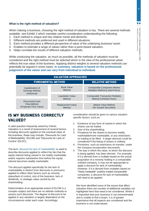#### **What is the right method of valuation?**

When Valuing a business, choosing the right method of valuation is key. There are several methods available, see Exhibit 2 which mandate careful consideration understanding the following:

- 1. Each method is unique and has relative merits and demerits.
- 2. Different methods are preferred and used in different situations.
- 3. Each method provides a different perspective of value of the underlying business/ asset.
- 4. Enables to estimate a range of values rather than a point-based valuation.
- 5. Helps correlate the results of different valuation methods.

While conducting the valuation, as much as possible, all the methods of valuation must be considered and the right method must be selected which in the view of the professional valuer reflects the true value of the business. Applying distinct weights to several valuation methods can potentially be argued in some cases. **In summary, valuation is based on the professional judgement of the valuer and can vary from individual to individual.**

| <b>VALUATION APPROACHES</b>                                                                                                    |                                    |                                                                       |
|--------------------------------------------------------------------------------------------------------------------------------|------------------------------------|-----------------------------------------------------------------------|
| <b>FUNDAMENTAL METHOD</b>                                                                                                      |                                    | <b>RELATIVE METHOD</b>                                                |
| Capitalization of<br><b>Earnings Method</b><br>(Historical)<br>Discounted Cash<br><b>Flow Method</b><br>(Projected Time Value) | <b>Book Value</b><br>Method        | <b>Comparable Companies Market</b><br>Multiples Method (Listed Peers) |
|                                                                                                                                | <b>Liquidation Value</b><br>Method | <b>Comparable Transaction Multiples</b><br>Method (Unlisted Peers)    |
|                                                                                                                                | <b>Replacement Value</b><br>Method | Market Value Method<br>(for Quoted Securities)                        |

## **IS MY BUSINESS CORRECTLY VALUED?**

A valid question frequently asked by Clients. Valuation is a result of assessment of several factors including discounts applied on the eventual value of the business, these may include; 'Discounts for Lack of Marketability' (DLOM) and 'Discounts for Lack of Control' (DLOC).

The term 'discount for lack of marketability' is used to describe discounts applied to reflect the fact that the equity interest being valued is not readily marketable and/or requires substantive time before the equity interest becomes readily marketable.

The discount applied specifically for the lack of marketability is distinct from discounts or premiums applied to reflect other factors such as minority status/lack of control, size of the business, lack of dividends, or strategic value carried by the shareholding.

Determination of an appropriate extent of DLOM is a complex subject and there are no definite methods to assess such discounts. The degree of discount to be applied in any valuation is largely dependent on the circumstances under each case. Accordingly,

consideration should be given to various situation specific factors, such as:

- 1. Existence of any form of market in which the shares can be traded.
- 2. Size of the shareholding.
- 3. Prospects for the shares to become readily marketable/more marketable, or any restrictions on trading to be lifted. A larger discount could be considered if the listing of shares is unlikely.
- 4. Provisions, such as restrictions on transfer, under the company incorporation documents.
- 5. The way in which the value, to which the discount is being applied, has been derived. For example, if it is derived from a multiple based on the actual acquisition of a minority holding in a comparable unlisted company, it may not be appropriate to apply a discount for lack of marketability. However, if it is derived from multiples based on "freely tradeable" publicly traded comparable companies, a discount for lack of marketability will need to be applied.

We have identified some of the issues that affect valuation there are number of additional variables not highlighted here that need to be considered. Whilst it is important that your business is not overestimated and is unable to find a buyer, it is of greater importance that all aspects are considered and the business is not undervalued.